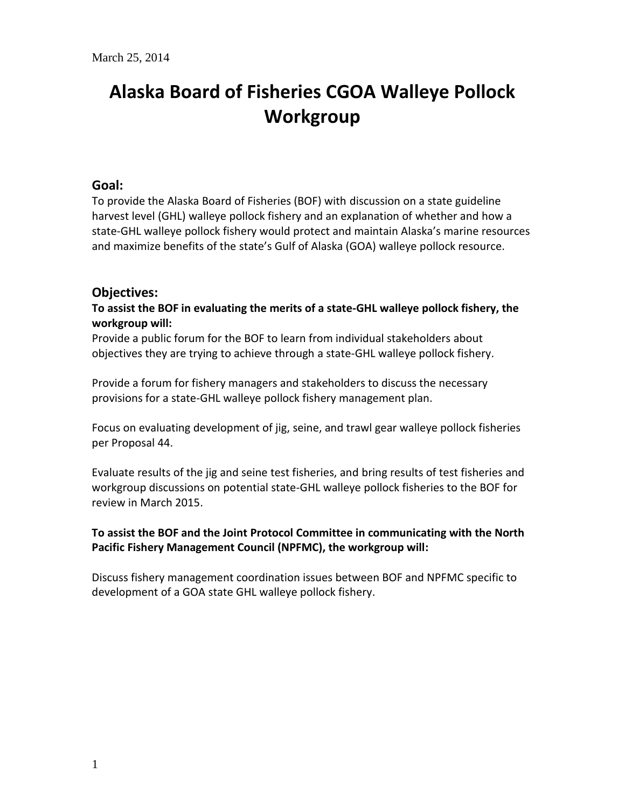# **Alaska Board of Fisheries CGOA Walleye Pollock Workgroup**

## **Goal:**

To provide the Alaska Board of Fisheries (BOF) with discussion on a state guideline harvest level (GHL) walleye pollock fishery and an explanation of whether and how a state-GHL walleye pollock fishery would protect and maintain Alaska's marine resources and maximize benefits of the state's Gulf of Alaska (GOA) walleye pollock resource.

## **Objectives:**

**To assist the BOF in evaluating the merits of a state-GHL walleye pollock fishery, the workgroup will:**

Provide a public forum for the BOF to learn from individual stakeholders about objectives they are trying to achieve through a state-GHL walleye pollock fishery.

Provide a forum for fishery managers and stakeholders to discuss the necessary provisions for a state-GHL walleye pollock fishery management plan.

Focus on evaluating development of jig, seine, and trawl gear walleye pollock fisheries per Proposal 44.

Evaluate results of the jig and seine test fisheries, and bring results of test fisheries and workgroup discussions on potential state-GHL walleye pollock fisheries to the BOF for review in March 2015.

## **To assist the BOF and the Joint Protocol Committee in communicating with the North Pacific Fishery Management Council (NPFMC), the workgroup will:**

Discuss fishery management coordination issues between BOF and NPFMC specific to development of a GOA state GHL walleye pollock fishery.